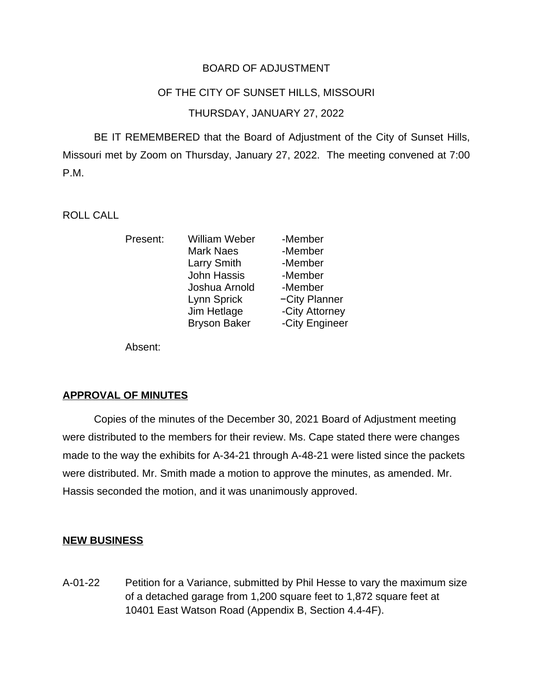## BOARD OF ADJUSTMENT

#### OF THE CITY OF SUNSET HILLS, MISSOURI

### THURSDAY, JANUARY 27, 2022

BE IT REMEMBERED that the Board of Adjustment of the City of Sunset Hills, Missouri met by Zoom on Thursday, January 27, 2022. The meeting convened at 7:00 P.M.

ROLL CALL

| Present: | <b>William Weber</b> | -Member        |
|----------|----------------------|----------------|
|          | <b>Mark Naes</b>     | -Member        |
|          | <b>Larry Smith</b>   | -Member        |
|          | <b>John Hassis</b>   | -Member        |
|          | Joshua Arnold        | -Member        |
|          | Lynn Sprick          | -City Planner  |
|          | Jim Hetlage          | -City Attorney |
|          | <b>Bryson Baker</b>  | -City Engineer |

Absent:

### **APPROVAL OF MINUTES**

Copies of the minutes of the December 30, 2021 Board of Adjustment meeting were distributed to the members for their review. Ms. Cape stated there were changes made to the way the exhibits for A-34-21 through A-48-21 were listed since the packets were distributed. Mr. Smith made a motion to approve the minutes, as amended. Mr. Hassis seconded the motion, and it was unanimously approved.

### **NEW BUSINESS**

A-01-22 Petition for a Variance, submitted by Phil Hesse to vary the maximum size of a detached garage from 1,200 square feet to 1,872 square feet at 10401 East Watson Road (Appendix B, Section 4.4-4F).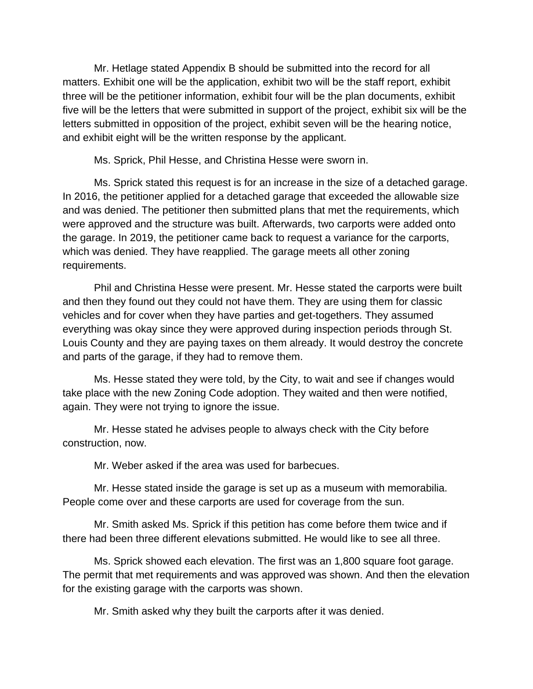Mr. Hetlage stated Appendix B should be submitted into the record for all matters. Exhibit one will be the application, exhibit two will be the staff report, exhibit three will be the petitioner information, exhibit four will be the plan documents, exhibit five will be the letters that were submitted in support of the project, exhibit six will be the letters submitted in opposition of the project, exhibit seven will be the hearing notice, and exhibit eight will be the written response by the applicant.

Ms. Sprick, Phil Hesse, and Christina Hesse were sworn in.

Ms. Sprick stated this request is for an increase in the size of a detached garage. In 2016, the petitioner applied for a detached garage that exceeded the allowable size and was denied. The petitioner then submitted plans that met the requirements, which were approved and the structure was built. Afterwards, two carports were added onto the garage. In 2019, the petitioner came back to request a variance for the carports, which was denied. They have reapplied. The garage meets all other zoning requirements.

Phil and Christina Hesse were present. Mr. Hesse stated the carports were built and then they found out they could not have them. They are using them for classic vehicles and for cover when they have parties and get-togethers. They assumed everything was okay since they were approved during inspection periods through St. Louis County and they are paying taxes on them already. It would destroy the concrete and parts of the garage, if they had to remove them.

Ms. Hesse stated they were told, by the City, to wait and see if changes would take place with the new Zoning Code adoption. They waited and then were notified, again. They were not trying to ignore the issue.

Mr. Hesse stated he advises people to always check with the City before construction, now.

Mr. Weber asked if the area was used for barbecues.

Mr. Hesse stated inside the garage is set up as a museum with memorabilia. People come over and these carports are used for coverage from the sun.

Mr. Smith asked Ms. Sprick if this petition has come before them twice and if there had been three different elevations submitted. He would like to see all three.

Ms. Sprick showed each elevation. The first was an 1,800 square foot garage. The permit that met requirements and was approved was shown. And then the elevation for the existing garage with the carports was shown.

Mr. Smith asked why they built the carports after it was denied.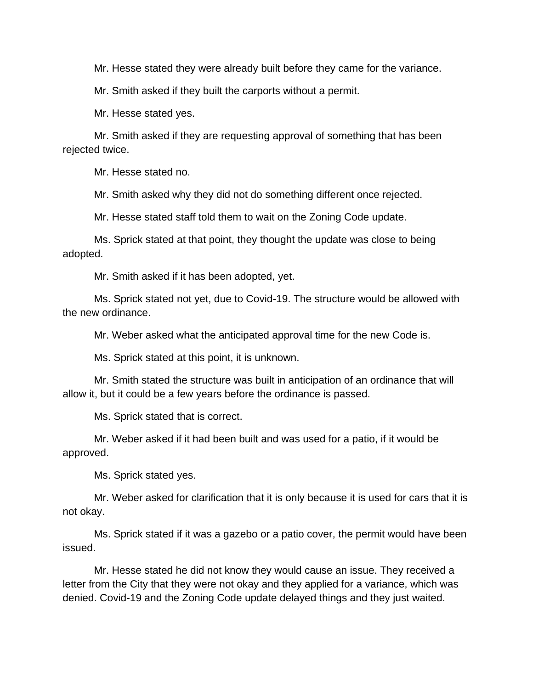Mr. Hesse stated they were already built before they came for the variance.

Mr. Smith asked if they built the carports without a permit.

Mr. Hesse stated yes.

Mr. Smith asked if they are requesting approval of something that has been rejected twice.

Mr. Hesse stated no.

Mr. Smith asked why they did not do something different once rejected.

Mr. Hesse stated staff told them to wait on the Zoning Code update.

Ms. Sprick stated at that point, they thought the update was close to being adopted.

Mr. Smith asked if it has been adopted, yet.

Ms. Sprick stated not yet, due to Covid-19. The structure would be allowed with the new ordinance.

Mr. Weber asked what the anticipated approval time for the new Code is.

Ms. Sprick stated at this point, it is unknown.

Mr. Smith stated the structure was built in anticipation of an ordinance that will allow it, but it could be a few years before the ordinance is passed.

Ms. Sprick stated that is correct.

Mr. Weber asked if it had been built and was used for a patio, if it would be approved.

Ms. Sprick stated yes.

Mr. Weber asked for clarification that it is only because it is used for cars that it is not okay.

Ms. Sprick stated if it was a gazebo or a patio cover, the permit would have been issued.

Mr. Hesse stated he did not know they would cause an issue. They received a letter from the City that they were not okay and they applied for a variance, which was denied. Covid-19 and the Zoning Code update delayed things and they just waited.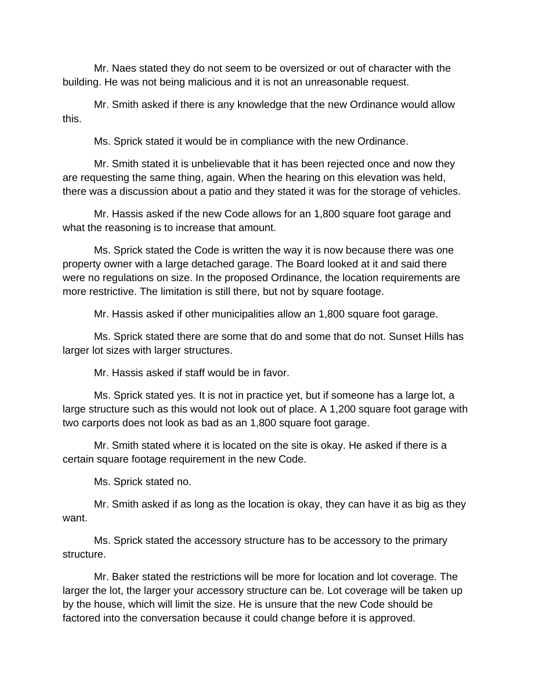Mr. Naes stated they do not seem to be oversized or out of character with the building. He was not being malicious and it is not an unreasonable request.

Mr. Smith asked if there is any knowledge that the new Ordinance would allow this.

Ms. Sprick stated it would be in compliance with the new Ordinance.

Mr. Smith stated it is unbelievable that it has been rejected once and now they are requesting the same thing, again. When the hearing on this elevation was held, there was a discussion about a patio and they stated it was for the storage of vehicles.

Mr. Hassis asked if the new Code allows for an 1,800 square foot garage and what the reasoning is to increase that amount.

Ms. Sprick stated the Code is written the way it is now because there was one property owner with a large detached garage. The Board looked at it and said there were no regulations on size. In the proposed Ordinance, the location requirements are more restrictive. The limitation is still there, but not by square footage.

Mr. Hassis asked if other municipalities allow an 1,800 square foot garage.

Ms. Sprick stated there are some that do and some that do not. Sunset Hills has larger lot sizes with larger structures.

Mr. Hassis asked if staff would be in favor.

Ms. Sprick stated yes. It is not in practice yet, but if someone has a large lot, a large structure such as this would not look out of place. A 1,200 square foot garage with two carports does not look as bad as an 1,800 square foot garage.

Mr. Smith stated where it is located on the site is okay. He asked if there is a certain square footage requirement in the new Code.

Ms. Sprick stated no.

Mr. Smith asked if as long as the location is okay, they can have it as big as they want.

Ms. Sprick stated the accessory structure has to be accessory to the primary structure.

Mr. Baker stated the restrictions will be more for location and lot coverage. The larger the lot, the larger your accessory structure can be. Lot coverage will be taken up by the house, which will limit the size. He is unsure that the new Code should be factored into the conversation because it could change before it is approved.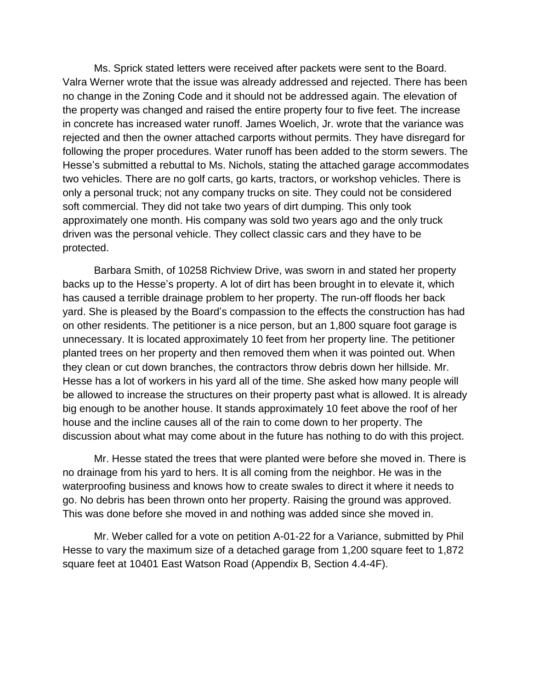Ms. Sprick stated letters were received after packets were sent to the Board. Valra Werner wrote that the issue was already addressed and rejected. There has been no change in the Zoning Code and it should not be addressed again. The elevation of the property was changed and raised the entire property four to five feet. The increase in concrete has increased water runoff. James Woelich, Jr. wrote that the variance was rejected and then the owner attached carports without permits. They have disregard for following the proper procedures. Water runoff has been added to the storm sewers. The Hesse's submitted a rebuttal to Ms. Nichols, stating the attached garage accommodates two vehicles. There are no golf carts, go karts, tractors, or workshop vehicles. There is only a personal truck; not any company trucks on site. They could not be considered soft commercial. They did not take two years of dirt dumping. This only took approximately one month. His company was sold two years ago and the only truck driven was the personal vehicle. They collect classic cars and they have to be protected.

Barbara Smith, of 10258 Richview Drive, was sworn in and stated her property backs up to the Hesse's property. A lot of dirt has been brought in to elevate it, which has caused a terrible drainage problem to her property. The run-off floods her back yard. She is pleased by the Board's compassion to the effects the construction has had on other residents. The petitioner is a nice person, but an 1,800 square foot garage is unnecessary. It is located approximately 10 feet from her property line. The petitioner planted trees on her property and then removed them when it was pointed out. When they clean or cut down branches, the contractors throw debris down her hillside. Mr. Hesse has a lot of workers in his yard all of the time. She asked how many people will be allowed to increase the structures on their property past what is allowed. It is already big enough to be another house. It stands approximately 10 feet above the roof of her house and the incline causes all of the rain to come down to her property. The discussion about what may come about in the future has nothing to do with this project.

Mr. Hesse stated the trees that were planted were before she moved in. There is no drainage from his yard to hers. It is all coming from the neighbor. He was in the waterproofing business and knows how to create swales to direct it where it needs to go. No debris has been thrown onto her property. Raising the ground was approved. This was done before she moved in and nothing was added since she moved in.

Mr. Weber called for a vote on petition A-01-22 for a Variance, submitted by Phil Hesse to vary the maximum size of a detached garage from 1,200 square feet to 1,872 square feet at 10401 East Watson Road (Appendix B, Section 4.4-4F).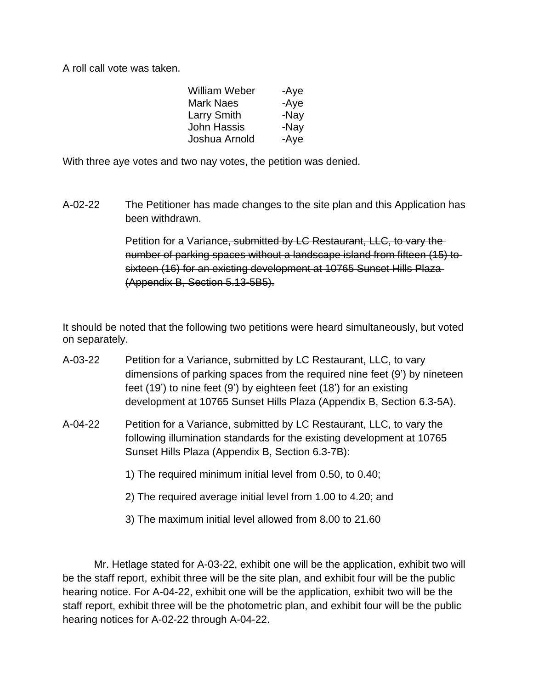A roll call vote was taken.

| William Weber      | -Aye |
|--------------------|------|
| <b>Mark Naes</b>   | -Aye |
| <b>Larry Smith</b> | -Nay |
| John Hassis        | -Nay |
| Joshua Arnold      | -Aye |

With three aye votes and two nay votes, the petition was denied.

A-02-22 The Petitioner has made changes to the site plan and this Application has been withdrawn.

> Petition for a Variance, submitted by LC Restaurant, LLC, to vary the number of parking spaces without a landscape island from fifteen (15) to sixteen (16) for an existing development at 10765 Sunset Hills Plaza (Appendix B, Section 5.13-5B5).

It should be noted that the following two petitions were heard simultaneously, but voted on separately.

- A-03-22 Petition for a Variance, submitted by LC Restaurant, LLC, to vary dimensions of parking spaces from the required nine feet (9') by nineteen feet (19') to nine feet (9') by eighteen feet (18') for an existing development at 10765 Sunset Hills Plaza (Appendix B, Section 6.3-5A).
- A-04-22 Petition for a Variance, submitted by LC Restaurant, LLC, to vary the following illumination standards for the existing development at 10765 Sunset Hills Plaza (Appendix B, Section 6.3-7B):
	- 1) The required minimum initial level from 0.50, to 0.40;
	- 2) The required average initial level from 1.00 to 4.20; and
	- 3) The maximum initial level allowed from 8.00 to 21.60

Mr. Hetlage stated for A-03-22, exhibit one will be the application, exhibit two will be the staff report, exhibit three will be the site plan, and exhibit four will be the public hearing notice. For A-04-22, exhibit one will be the application, exhibit two will be the staff report, exhibit three will be the photometric plan, and exhibit four will be the public hearing notices for A-02-22 through A-04-22.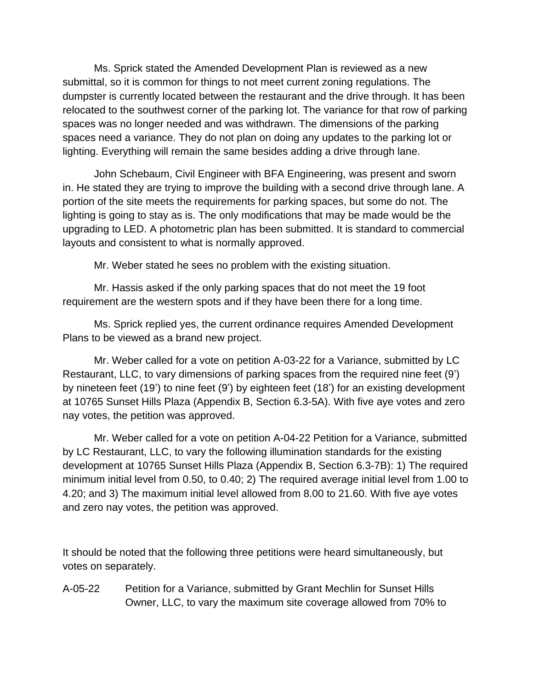Ms. Sprick stated the Amended Development Plan is reviewed as a new submittal, so it is common for things to not meet current zoning regulations. The dumpster is currently located between the restaurant and the drive through. It has been relocated to the southwest corner of the parking lot. The variance for that row of parking spaces was no longer needed and was withdrawn. The dimensions of the parking spaces need a variance. They do not plan on doing any updates to the parking lot or lighting. Everything will remain the same besides adding a drive through lane.

John Schebaum, Civil Engineer with BFA Engineering, was present and sworn in. He stated they are trying to improve the building with a second drive through lane. A portion of the site meets the requirements for parking spaces, but some do not. The lighting is going to stay as is. The only modifications that may be made would be the upgrading to LED. A photometric plan has been submitted. It is standard to commercial layouts and consistent to what is normally approved.

Mr. Weber stated he sees no problem with the existing situation.

Mr. Hassis asked if the only parking spaces that do not meet the 19 foot requirement are the western spots and if they have been there for a long time.

Ms. Sprick replied yes, the current ordinance requires Amended Development Plans to be viewed as a brand new project.

Mr. Weber called for a vote on petition A-03-22 for a Variance, submitted by LC Restaurant, LLC, to vary dimensions of parking spaces from the required nine feet (9') by nineteen feet (19') to nine feet (9') by eighteen feet (18') for an existing development at 10765 Sunset Hills Plaza (Appendix B, Section 6.3-5A). With five aye votes and zero nay votes, the petition was approved.

Mr. Weber called for a vote on petition A-04-22 Petition for a Variance, submitted by LC Restaurant, LLC, to vary the following illumination standards for the existing development at 10765 Sunset Hills Plaza (Appendix B, Section 6.3-7B): 1) The required minimum initial level from 0.50, to 0.40; 2) The required average initial level from 1.00 to 4.20; and 3) The maximum initial level allowed from 8.00 to 21.60. With five aye votes and zero nay votes, the petition was approved.

It should be noted that the following three petitions were heard simultaneously, but votes on separately.

A-05-22 Petition for a Variance, submitted by Grant Mechlin for Sunset Hills Owner, LLC, to vary the maximum site coverage allowed from 70% to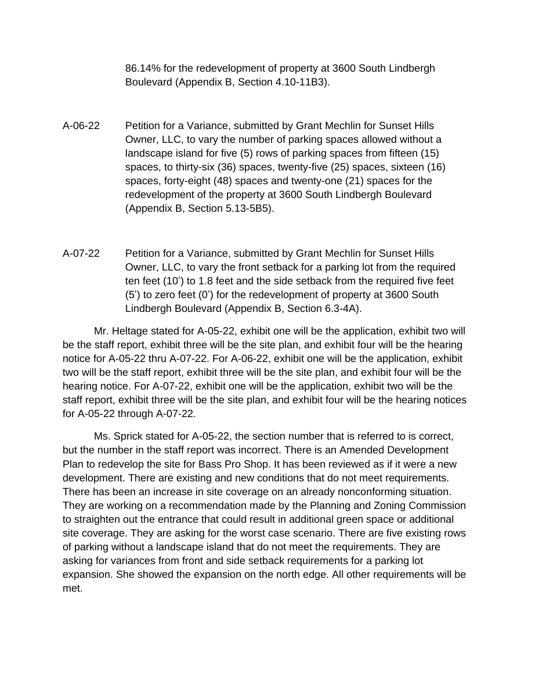86.14% for the redevelopment of property at 3600 South Lindbergh Boulevard (Appendix B, Section 4.10-11B3).

- A-06-22 Petition for a Variance, submitted by Grant Mechlin for Sunset Hills Owner, LLC, to vary the number of parking spaces allowed without a landscape island for five (5) rows of parking spaces from fifteen (15) spaces, to thirty-six (36) spaces, twenty-five (25) spaces, sixteen (16) spaces, forty-eight (48) spaces and twenty-one (21) spaces for the redevelopment of the property at 3600 South Lindbergh Boulevard (Appendix B, Section 5.13-5B5).
- A-07-22 Petition for a Variance, submitted by Grant Mechlin for Sunset Hills Owner, LLC, to vary the front setback for a parking lot from the required ten feet (10') to 1.8 feet and the side setback from the required five feet (5') to zero feet (0') for the redevelopment of property at 3600 South Lindbergh Boulevard (Appendix B, Section 6.3-4A).

Mr. Heltage stated for A-05-22, exhibit one will be the application, exhibit two will be the staff report, exhibit three will be the site plan, and exhibit four will be the hearing notice for A-05-22 thru A-07-22. For A-06-22, exhibit one will be the application, exhibit two will be the staff report, exhibit three will be the site plan, and exhibit four will be the hearing notice. For A-07-22, exhibit one will be the application, exhibit two will be the staff report, exhibit three will be the site plan, and exhibit four will be the hearing notices for A-05-22 through A-07-22.

Ms. Sprick stated for A-05-22, the section number that is referred to is correct, but the number in the staff report was incorrect. There is an Amended Development Plan to redevelop the site for Bass Pro Shop. It has been reviewed as if it were a new development. There are existing and new conditions that do not meet requirements. There has been an increase in site coverage on an already nonconforming situation. They are working on a recommendation made by the Planning and Zoning Commission to straighten out the entrance that could result in additional green space or additional site coverage. They are asking for the worst case scenario. There are five existing rows of parking without a landscape island that do not meet the requirements. They are asking for variances from front and side setback requirements for a parking lot expansion. She showed the expansion on the north edge. All other requirements will be met.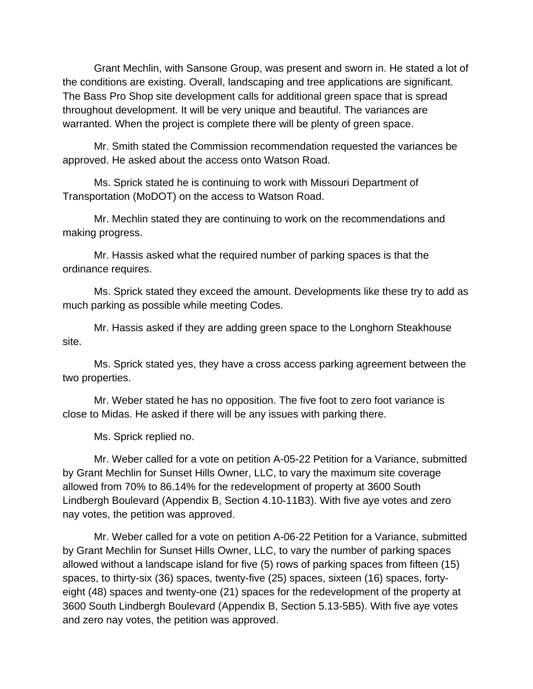Grant Mechlin, with Sansone Group, was present and sworn in. He stated a lot of the conditions are existing. Overall, landscaping and tree applications are significant. The Bass Pro Shop site development calls for additional green space that is spread throughout development. It will be very unique and beautiful. The variances are warranted. When the project is complete there will be plenty of green space.

Mr. Smith stated the Commission recommendation requested the variances be approved. He asked about the access onto Watson Road.

Ms. Sprick stated he is continuing to work with Missouri Department of Transportation (MoDOT) on the access to Watson Road.

Mr. Mechlin stated they are continuing to work on the recommendations and making progress.

Mr. Hassis asked what the required number of parking spaces is that the ordinance requires.

Ms. Sprick stated they exceed the amount. Developments like these try to add as much parking as possible while meeting Codes.

Mr. Hassis asked if they are adding green space to the Longhorn Steakhouse site.

Ms. Sprick stated yes, they have a cross access parking agreement between the two properties.

Mr. Weber stated he has no opposition. The five foot to zero foot variance is close to Midas. He asked if there will be any issues with parking there.

Ms. Sprick replied no.

Mr. Weber called for a vote on petition A-05-22 Petition for a Variance, submitted by Grant Mechlin for Sunset Hills Owner, LLC, to vary the maximum site coverage allowed from 70% to 86.14% for the redevelopment of property at 3600 South Lindbergh Boulevard (Appendix B, Section 4.10-11B3). With five aye votes and zero nay votes, the petition was approved.

Mr. Weber called for a vote on petition A-06-22 Petition for a Variance, submitted by Grant Mechlin for Sunset Hills Owner, LLC, to vary the number of parking spaces allowed without a landscape island for five (5) rows of parking spaces from fifteen (15) spaces, to thirty-six (36) spaces, twenty-five (25) spaces, sixteen (16) spaces, fortyeight (48) spaces and twenty-one (21) spaces for the redevelopment of the property at 3600 South Lindbergh Boulevard (Appendix B, Section 5.13-5B5). With five aye votes and zero nay votes, the petition was approved.